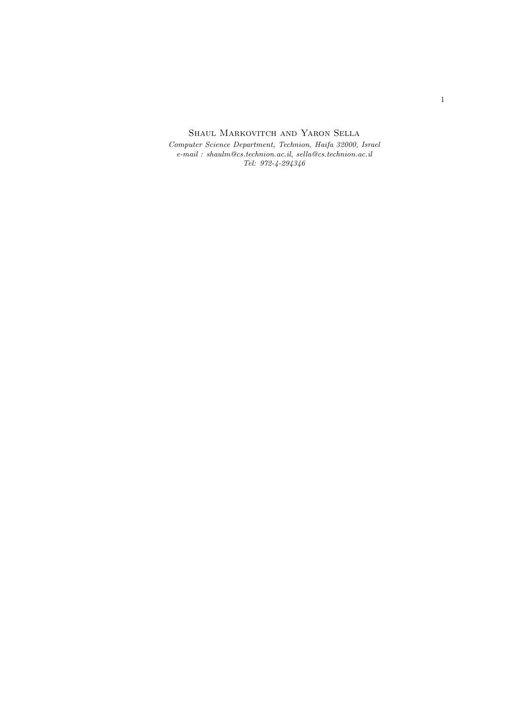SHAUL MARKOVITCH AND YARON SELLA

*Computer Science Department, Technion, Haifa 32000, Israel e-mail : shaulm@cs.technion.ac.il, sella@cs.technion.ac.il Tel: 972-4-294346*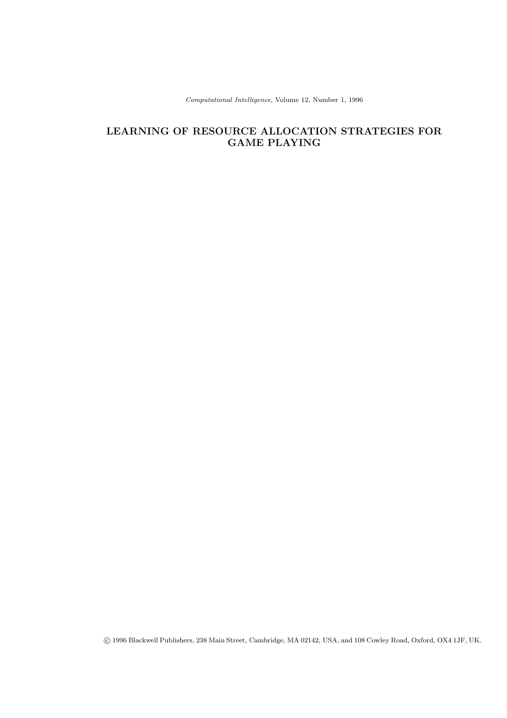Computational Intelligence, Volume 12, Number 1, 1996

# **LEARNING OF RESOURCE ALLOCATION STRATEGIES FOR GAME PLAYING**

c 1996 Blackwell Publishers, 238 Main Street, Cambridge, MA 02142, USA, and 108 Cowley Road, Oxford, OX4 1JF, UK.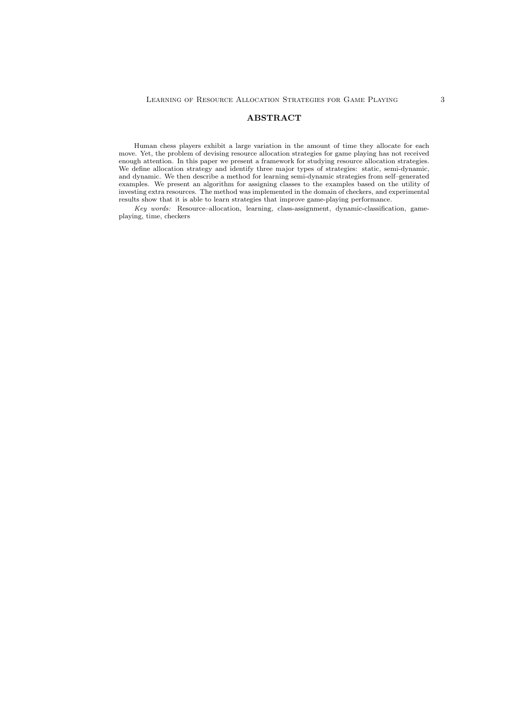## **ABSTRACT**

Human chess players exhibit a large variation in the amount of time they allocate for each move. Yet, the problem of devising resource allocation strategies for game playing has not received enough attention. In this paper we present a framework for studying resource allocation strategies. We define allocation strategy and identify three major types of strategies: static, semi-dynamic, and dynamic. We then describe a method for learning semi-dynamic strategies from self–generated examples. We present an algorithm for assigning classes to the examples based on the utility of investing extra resources. The method was implemented in the domain of checkers, and experimental results show that it is able to learn strategies that improve game-playing performance.

Key words: Resource–allocation, learning, class-assignment, dynamic-classification, gameplaying, time, checkers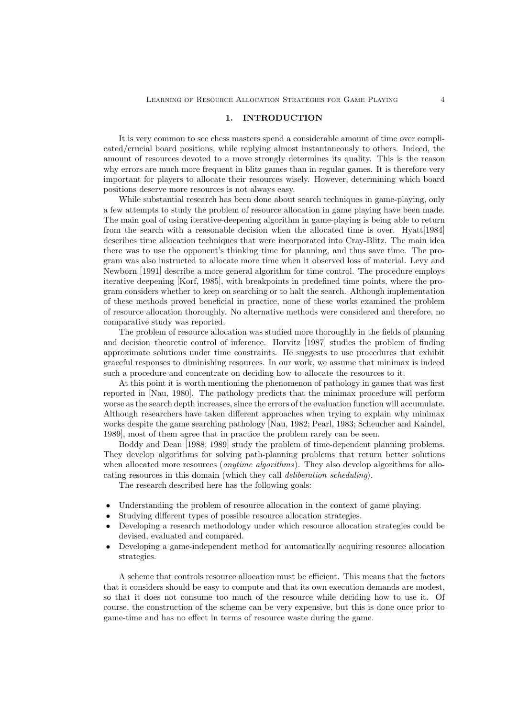### 1. INTRODUCTION

It is very common to see chess masters spend a considerable amount of time over complicated/crucial board positions, while replying almost instantaneously to others. Indeed, the amount of resources devoted to a move strongly determines its quality. This is the reason why errors are much more frequent in blitz games than in regular games. It is therefore very important for players to allocate their resources wisely. However, determining which board positions deserve more resources is not always easy.

While substantial research has been done about search techniques in game-playing, only a few attempts to study the problem of resource allocation in game playing have been made. The main goal of using iterative-deepening algorithm in game-playing is being able to return from the search with a reasonable decision when the allocated time is over. Hyatt[1984] describes time allocation techniques that were incorporated into Cray-Blitz. The main idea there was to use the opponent's thinking time for planning, and thus save time. The program was also instructed to allocate more time when it observed loss of material. Levy and Newborn [1991] describe a more general algorithm for time control. The procedure employs iterative deepening [Korf, 1985], with breakpoints in predefined time points, where the program considers whether to keep on searching or to halt the search. Although implementation of these methods proved beneficial in practice, none of these works examined the problem of resource allocation thoroughly. No alternative methods were considered and therefore, no comparative study was reported.

The problem of resource allocation was studied more thoroughly in the fields of planning and decision–theoretic control of inference. Horvitz [1987] studies the problem of finding approximate solutions under time constraints. He suggests to use procedures that exhibit graceful responses to diminishing resources. In our work, we assume that minimax is indeed such a procedure and concentrate on deciding how to allocate the resources to it.

At this point it is worth mentioning the phenomenon of pathology in games that was first reported in [Nau, 1980]. The pathology predicts that the minimax procedure will perform worse as the search depth increases, since the errors of the evaluation function will accumulate. Although researchers have taken different approaches when trying to explain why minimax works despite the game searching pathology [Nau, 1982; Pearl, 1983; Scheucher and Kaindel, 1989], most of them agree that in practice the problem rarely can be seen.

Boddy and Dean [1988; 1989] study the problem of time-dependent planning problems. They develop algorithms for solving path-planning problems that return better solutions when allocated more resources (*anytime algorithms*). They also develop algorithms for allocating resources in this domain (which they call *deliberation scheduling*).

The research described here has the following goals:

- Understanding the problem of resource allocation in the context of game playing.
- Studying different types of possible resource allocation strategies.
- Developing a research methodology under which resource allocation strategies could be devised, evaluated and compared.
- Developing a game-independent method for automatically acquiring resource allocation strategies.

A scheme that controls resource allocation must be efficient. This means that the factors that it considers should be easy to compute and that its own execution demands are modest, so that it does not consume too much of the resource while deciding how to use it. Of course, the construction of the scheme can be very expensive, but this is done once prior to game-time and has no effect in terms of resource waste during the game.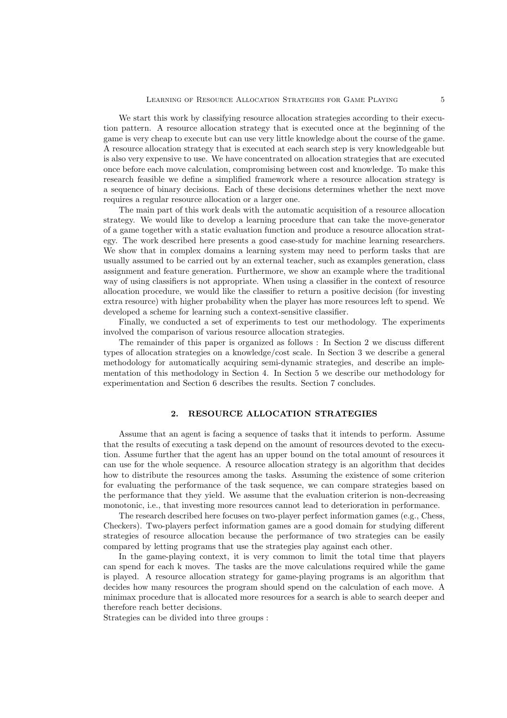We start this work by classifying resource allocation strategies according to their execution pattern. A resource allocation strategy that is executed once at the beginning of the game is very cheap to execute but can use very little knowledge about the course of the game. A resource allocation strategy that is executed at each search step is very knowledgeable but is also very expensive to use. We have concentrated on allocation strategies that are executed once before each move calculation, compromising between cost and knowledge. To make this research feasible we define a simplified framework where a resource allocation strategy is a sequence of binary decisions. Each of these decisions determines whether the next move requires a regular resource allocation or a larger one.

The main part of this work deals with the automatic acquisition of a resource allocation strategy. We would like to develop a learning procedure that can take the move-generator of a game together with a static evaluation function and produce a resource allocation strategy. The work described here presents a good case-study for machine learning researchers. We show that in complex domains a learning system may need to perform tasks that are usually assumed to be carried out by an external teacher, such as examples generation, class assignment and feature generation. Furthermore, we show an example where the traditional way of using classifiers is not appropriate. When using a classifier in the context of resource allocation procedure, we would like the classifier to return a positive decision (for investing extra resource) with higher probability when the player has more resources left to spend. We developed a scheme for learning such a context-sensitive classifier.

Finally, we conducted a set of experiments to test our methodology. The experiments involved the comparison of various resource allocation strategies.

The remainder of this paper is organized as follows : In Section 2 we discuss different types of allocation strategies on a knowledge/cost scale. In Section 3 we describe a general methodology for automatically acquiring semi-dynamic strategies, and describe an implementation of this methodology in Section 4. In Section 5 we describe our methodology for experimentation and Section 6 describes the results. Section 7 concludes.

### $2.$ **2. RESOURCE ALLOCATION STRATEGIES**

Assume that an agent is facing a sequence of tasks that it intends to perform. Assume that the results of executing a task depend on the amount of resources devoted to the execution. Assume further that the agent has an upper bound on the total amount of resources it can use for the whole sequence. A resource allocation strategy is an algorithm that decides how to distribute the resources among the tasks. Assuming the existence of some criterion for evaluating the performance of the task sequence, we can compare strategies based on the performance that they yield. We assume that the evaluation criterion is non-decreasing monotonic, i.e., that investing more resources cannot lead to deterioration in performance.

The research described here focuses on two-player perfect information games (e.g., Chess, Checkers). Two-players perfect information games are a good domain for studying different strategies of resource allocation because the performance of two strategies can be easily compared by letting programs that use the strategies play against each other.

In the game-playing context, it is very common to limit the total time that players can spend for each k moves. The tasks are the move calculations required while the game is played. A resource allocation strategy for game-playing programs is an algorithm that decides how many resources the program should spend on the calculation of each move. A minimax procedure that is allocated more resources for a search is able to search deeper and therefore reach better decisions.

Strategies can be divided into three groups :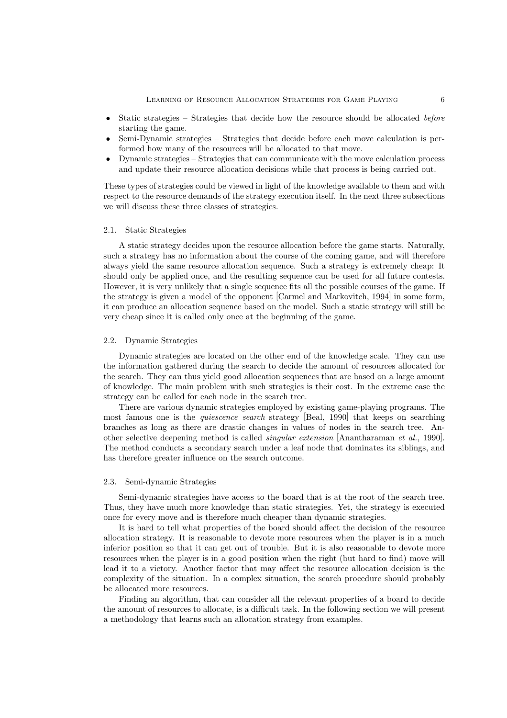- Static strategies Strategies that decide how the resource should be allocated *before* starting the game.
- Semi-Dynamic strategies Strategies that decide before each move calculation is performed how many of the resources will be allocated to that move.
- Dynamic strategies Strategies that can communicate with the move calculation process and update their resource allocation decisions while that process is being carried out.

These types of strategies could be viewed in light of the knowledge available to them and with respect to the resource demands of the strategy execution itself. In the next three subsections we will discuss these three classes of strategies.

### 2.1. Static Strategies

A static strategy decides upon the resource allocation before the game starts. Naturally, such a strategy has no information about the course of the coming game, and will therefore always yield the same resource allocation sequence. Such a strategy is extremely cheap: It should only be applied once, and the resulting sequence can be used for all future contests. However, it is very unlikely that a single sequence fits all the possible courses of the game. If the strategy is given a model of the opponent [Carmel and Markovitch, 1994] in some form, it can produce an allocation sequence based on the model. Such a static strategy will still be very cheap since it is called only once at the beginning of the game.

### 2.2. Dynamic Strategies

Dynamic strategies are located on the other end of the knowledge scale. They can use the information gathered during the search to decide the amount of resources allocated for the search. They can thus yield good allocation sequences that are based on a large amount of knowledge. The main problem with such strategies is their cost. In the extreme case the strategy can be called for each node in the search tree.

There are various dynamic strategies employed by existing game-playing programs. The most famous one is the *quiescence search* strategy [Beal, 1990] that keeps on searching branches as long as there are drastic changes in values of nodes in the search tree. Another selective deepening method is called *singular extension* [Anantharaman *et al.*, 1990]. The method conducts a secondary search under a leaf node that dominates its siblings, and has therefore greater influence on the search outcome.

### 2.3. Semi-dynamic Strategies

Semi-dynamic strategies have access to the board that is at the root of the search tree. Thus, they have much more knowledge than static strategies. Yet, the strategy is executed once for every move and is therefore much cheaper than dynamic strategies.

It is hard to tell what properties of the board should affect the decision of the resource allocation strategy. It is reasonable to devote more resources when the player is in a much inferior position so that it can get out of trouble. But it is also reasonable to devote more resources when the player is in a good position when the right (but hard to find) move will lead it to a victory. Another factor that may affect the resource allocation decision is the complexity of the situation. In a complex situation, the search procedure should probably be allocated more resources.

Finding an algorithm, that can consider all the relevant properties of a board to decide the amount of resources to allocate, is a difficult task. In the following section we will present a methodology that learns such an allocation strategy from examples.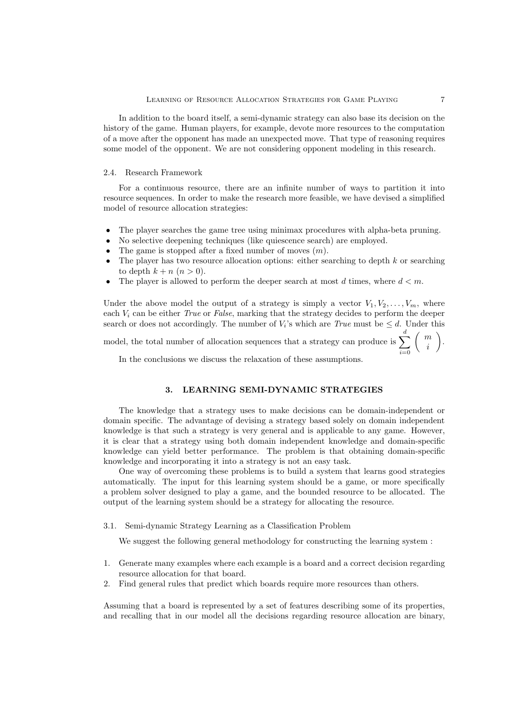In addition to the board itself, a semi-dynamic strategy can also base its decision on the history of the game. Human players, for example, devote more resources to the computation of a move after the opponent has made an unexpected move. That type of reasoning requires some model of the opponent. We are not considering opponent modeling in this research.

### 2.4. Research Framework

For a continuous resource, there are an infinite number of ways to partition it into resource sequences. In order to make the research more feasible, we have devised a simplified model of resource allocation strategies:

- The player searches the game tree using minimax procedures with alpha-beta pruning.
- No selective deepening techniques (like quiescence search) are employed.
- The game is stopped after a fixed number of moves  $(m)$ .
- The player has two resource allocation options: either searching to depth  $k$  or searching to depth  $k + n$   $(n > 0)$ .
- The player is allowed to perform the deeper search at most d times, where  $d < m$ .

Under the above model the output of a strategy is simply a vector  $V_1, V_2, \ldots, V_m$ , where each V*<sup>i</sup>* can be either *True* or *False*, marking that the strategy decides to perform the deeper search or does not accordingly. The number of  $V_i$ 's which are *True* must be  $\leq d$ . Under this model, the total number of allocation sequences that a strategy can produce is  $\sum$ *d i*=0  $\left( m\right)$ i .

In the conclusions we discuss the relaxation of these assumptions.

### 3.

The knowledge that a strategy uses to make decisions can be domain-independent or domain specific. The advantage of devising a strategy based solely on domain independent knowledge is that such a strategy is very general and is applicable to any game. However, it is clear that a strategy using both domain independent knowledge and domain-specific knowledge can yield better performance. The problem is that obtaining domain-specific knowledge and incorporating it into a strategy is not an easy task.

One way of overcoming these problems is to build a system that learns good strategies automatically. The input for this learning system should be a game, or more specifically a problem solver designed to play a game, and the bounded resource to be allocated. The output of the learning system should be a strategy for allocating the resource.

3.1. Semi-dynamic Strategy Learning as a Classification Problem

We suggest the following general methodology for constructing the learning system :

- 1. Generate many examples where each example is a board and a correct decision regarding resource allocation for that board.
- 2. Find general rules that predict which boards require more resources than others.

Assuming that a board is represented by a set of features describing some of its properties, and recalling that in our model all the decisions regarding resource allocation are binary,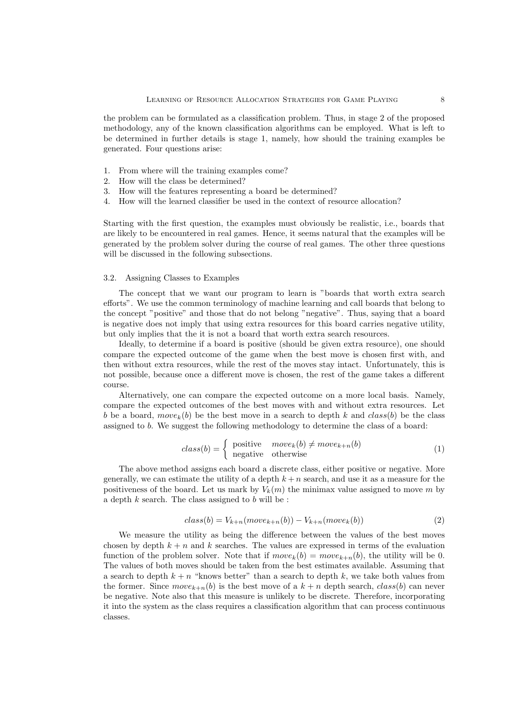the problem can be formulated as a classification problem. Thus, in stage 2 of the proposed methodology, any of the known classification algorithms can be employed. What is left to be determined in further details is stage 1, namely, how should the training examples be generated. Four questions arise:

- 1. From where will the training examples come?
- 2. How will the class be determined?
- 3. How will the features representing a board be determined?
- 4. How will the learned classifier be used in the context of resource allocation?

Starting with the first question, the examples must obviously be realistic, i.e., boards that are likely to be encountered in real games. Hence, it seems natural that the examples will be generated by the problem solver during the course of real games. The other three questions will be discussed in the following subsections.

### 3.2. Assigning Classes to Examples

The concept that we want our program to learn is "boards that worth extra search efforts". We use the common terminology of machine learning and call boards that belong to the concept "positive" and those that do not belong "negative". Thus, saying that a board is negative does not imply that using extra resources for this board carries negative utility, but only implies that the it is not a board that worth extra search resources.

Ideally, to determine if a board is positive (should be given extra resource), one should compare the expected outcome of the game when the best move is chosen first with, and then without extra resources, while the rest of the moves stay intact. Unfortunately, this is not possible, because once a different move is chosen, the rest of the game takes a different course.

Alternatively, one can compare the expected outcome on a more local basis. Namely, compare the expected outcomes of the best moves with and without extra resources. Let b be a board, move<sub>k</sub>(b) be the best move in a search to depth k and class(b) be the class assigned to b. We suggest the following methodology to determine the class of a board:

$$
class(b) = \begin{cases} positive & move_k(b) \neq move_{k+n}(b) \\ negative & otherwise \end{cases}
$$
 (1)

The above method assigns each board a discrete class, either positive or negative. More generally, we can estimate the utility of a depth  $k + n$  search, and use it as a measure for the positiveness of the board. Let us mark by  $V_k(m)$  the minimax value assigned to move m by a depth  $k$  search. The class assigned to  $b$  will be :

$$
class(b) = V_{k+n}(move_{k+n}(b)) - V_{k+n}(move_k(b))
$$
\n<sup>(2)</sup>

We measure the utility as being the difference between the values of the best moves chosen by depth  $k + n$  and k searches. The values are expressed in terms of the evaluation function of the problem solver. Note that if  $move_k(b) = move_{k+n}(b)$ , the utility will be 0. The values of both moves should be taken from the best estimates available. Assuming that a search to depth  $k + n$  "knows better" than a search to depth k, we take both values from the former. Since  $move_{k+n}(b)$  is the best move of a  $k+n$  depth search,  $class(b)$  can never be negative. Note also that this measure is unlikely to be discrete. Therefore, incorporating it into the system as the class requires a classification algorithm that can process continuous classes.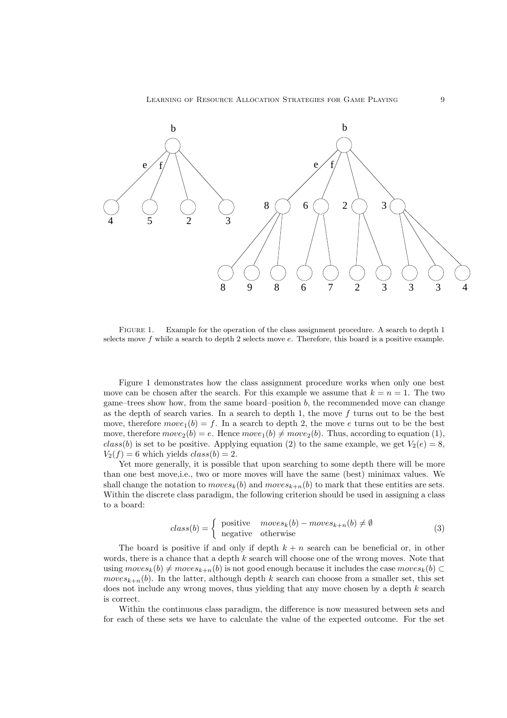LEARNING OF RESOURCE ALLOCATION STRATEGIES FOR GAME PLAYING 9



Figure 1. Example for the operation of the class assignment procedure. A search to depth 1 selects move *f* while a search to depth 2 selects move *e*. Therefore, this board is a positive example.

Figure 1 demonstrates how the class assignment procedure works when only one best move can be chosen after the search. For this example we assume that  $k = n = 1$ . The two game–trees show how, from the same board–position  $b$ , the recommended move can change as the depth of search varies. In a search to depth 1, the move  $f$  turns out to be the best move, therefore  $move_1(b) = f$ . In a search to depth 2, the move e turns out to be the best move, therefore  $move_2(b) = e$ . Hence  $move_1(b) \neq move_2(b)$ . Thus, according to equation (1), class(b) is set to be positive. Applying equation (2) to the same example, we get  $V_2(e) = 8$ ,  $V_2(f) = 6$  which yields  $class(b) = 2$ .

Yet more generally, it is possible that upon searching to some depth there will be more than one best move,i.e., two or more moves will have the same (best) minimax values. We shall change the notation to  $moves_k(b)$  and  $moves_{k+n}(b)$  to mark that these entities are sets. Within the discrete class paradigm, the following criterion should be used in assigning a class to a board:

$$
class(b) = \begin{cases} positive & moves_k(b) - moves_{k+n}(b) \neq \emptyset \\ negative & otherwise \end{cases}
$$
 (3)

The board is positive if and only if depth  $k + n$  search can be beneficial or, in other words, there is a chance that a depth k search will choose one of the wrong moves. Note that using  $moves_k(b) \neq moves_{k+n}(b)$  is not good enough because it includes the case  $moves_k(b) \subset$ moves<sub> $k+n$ </sub>(b). In the latter, although depth k search can choose from a smaller set, this set does not include any wrong moves, thus yielding that any move chosen by a depth k search is correct.

Within the continuous class paradigm, the difference is now measured between sets and for each of these sets we have to calculate the value of the expected outcome. For the set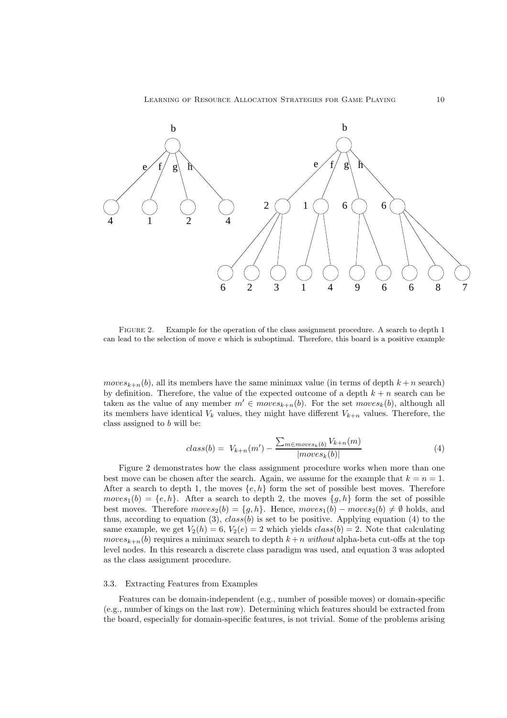

Figure 2. Example for the operation of the class assignment procedure. A search to depth 1 can lead to the selection of move *e* which is suboptimal. Therefore, this board is a positive example

moves<sub> $k+n$ </sub>(b), all its members have the same minimax value (in terms of depth  $k+n$  search) by definition. Therefore, the value of the expected outcome of a depth  $k + n$  search can be taken as the value of any member  $m' \in moves_{k+n}(b)$ . For the set moves<sub>k</sub>(b), although all its members have identical  $V_k$  values, they might have different  $V_{k+n}$  values. Therefore, the class assigned to b will be:

$$
class(b) = V_{k+n}(m') - \frac{\sum_{m \in moves_k(b)} V_{k+n}(m)}{|moves_k(b)|}
$$
\n
$$
(4)
$$

Figure 2 demonstrates how the class assignment procedure works when more than one best move can be chosen after the search. Again, we assume for the example that  $k = n = 1$ . After a search to depth 1, the moves  $\{e, h\}$  form the set of possible best moves. Therefore  $moves<sub>1</sub>(b) = \{e, h\}.$  After a search to depth 2, the moves  $\{g, h\}$  form the set of possible best moves. Therefore  $moves_2(b) = \{g, h\}$ . Hence,  $moves_1(b) - moves_2(b) \neq \emptyset$  holds, and thus, according to equation (3),  $class(b)$  is set to be positive. Applying equation (4) to the same example, we get  $V_2(h) = 6$ ,  $V_2(e) = 2$  which yields  $class(b) = 2$ . Note that calculating moves<sub> $k+n$ </sub>(b) requires a minimax search to depth  $k+n$  *without* alpha-beta cut-offs at the top level nodes. In this research a discrete class paradigm was used, and equation 3 was adopted as the class assignment procedure.

### 3.3. Extracting Features from Examples

Features can be domain-independent (e.g., number of possible moves) or domain-specific (e.g., number of kings on the last row). Determining which features should be extracted from the board, especially for domain-specific features, is not trivial. Some of the problems arising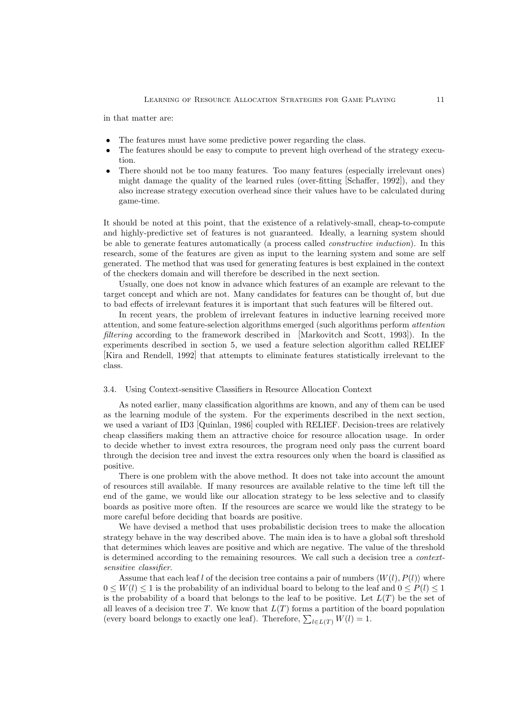in that matter are:

- The features must have some predictive power regarding the class.
- The features should be easy to compute to prevent high overhead of the strategy execution.
- There should not be too many features. Too many features (especially irrelevant ones) might damage the quality of the learned rules (over-fitting [Schaffer, 1992]), and they also increase strategy execution overhead since their values have to be calculated during game-time.

It should be noted at this point, that the existence of a relatively-small, cheap-to-compute and highly-predictive set of features is not guaranteed. Ideally, a learning system should be able to generate features automatically (a process called *constructive induction*). In this research, some of the features are given as input to the learning system and some are self generated. The method that was used for generating features is best explained in the context of the checkers domain and will therefore be described in the next section.

Usually, one does not know in advance which features of an example are relevant to the target concept and which are not. Many candidates for features can be thought of, but due to bad effects of irrelevant features it is important that such features will be filtered out.

In recent years, the problem of irrelevant features in inductive learning received more attention, and some feature-selection algorithms emerged (such algorithms perform *attention filtering* according to the framework described in [Markovitch and Scott, 1993]). In the experiments described in section 5, we used a feature selection algorithm called RELIEF [Kira and Rendell, 1992] that attempts to eliminate features statistically irrelevant to the class.

### 3.4. Using Context-sensitive Classifiers in Resource Allocation Context

As noted earlier, many classification algorithms are known, and any of them can be used as the learning module of the system. For the experiments described in the next section, we used a variant of ID3 [Quinlan, 1986] coupled with RELIEF. Decision-trees are relatively cheap classifiers making them an attractive choice for resource allocation usage. In order to decide whether to invest extra resources, the program need only pass the current board through the decision tree and invest the extra resources only when the board is classified as positive.

There is one problem with the above method. It does not take into account the amount of resources still available. If many resources are available relative to the time left till the end of the game, we would like our allocation strategy to be less selective and to classify boards as positive more often. If the resources are scarce we would like the strategy to be more careful before deciding that boards are positive.

We have devised a method that uses probabilistic decision trees to make the allocation strategy behave in the way described above. The main idea is to have a global soft threshold that determines which leaves are positive and which are negative. The value of the threshold is determined according to the remaining resources. We call such a decision tree a *contextsensitive classifier*.

Assume that each leaf l of the decision tree contains a pair of numbers  $\langle W(l), P(l) \rangle$  where  $0 \leq W(l) \leq 1$  is the probability of an individual board to belong to the leaf and  $0 \leq P(l) \leq 1$ is the probability of a board that belongs to the leaf to be positive. Let  $L(T)$  be the set of all leaves of a decision tree  $T$ . We know that  $L(T)$  forms a partition of the board population (every board belongs to exactly one leaf). Therefore,  $\sum_{l \in L(T)} W(l) = 1$ .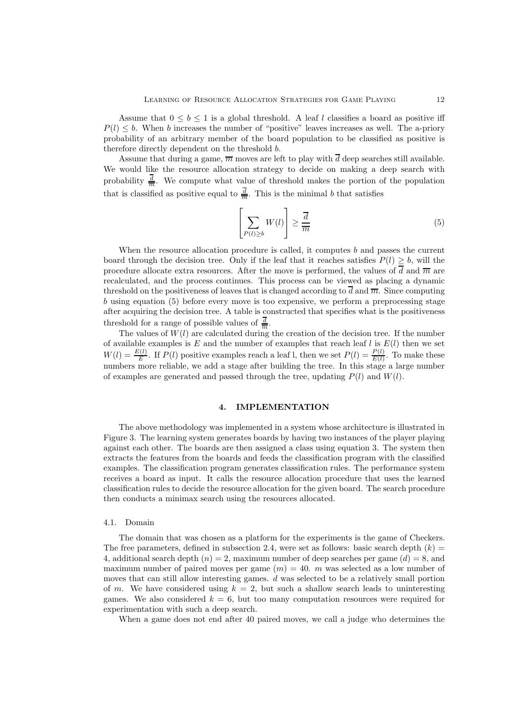Assume that  $0 \leq b \leq 1$  is a global threshold. A leaf l classifies a board as positive iff  $P(l) \leq b$ . When b increases the number of "positive" leaves increases as well. The a-priory probability of an arbitrary member of the board population to be classified as positive is therefore directly dependent on the threshold b.

Assume that during a game,  $\overline{m}$  moves are left to play with  $\overline{d}$  deep searches still available. We would like the resource allocation strategy to decide on making a deep search with probability  $\frac{\overline{d}}{m}$ . We compute what value of threshold makes the portion of the population that is classified as positive equal to  $\frac{\overline{d}}{m}$ . This is the minimal b that satisfies

$$
\left[\sum_{P(l)\geq b} W(l)\right] \geq \frac{\overline{d}}{\overline{m}}\tag{5}
$$

When the resource allocation procedure is called, it computes  $b$  and passes the current board through the decision tree. Only if the leaf that it reaches satisfies  $P(l) \geq b$ , will the procedure allocate extra resources. After the move is performed, the values of d and  $\overline{m}$  are recalculated, and the process continues. This process can be viewed as placing a dynamic threshold on the positiveness of leaves that is changed according to  $\overline{d}$  and  $\overline{m}$ . Since computing b using equation (5) before every move is too expensive, we perform a preprocessing stage after acquiring the decision tree. A table is constructed that specifies what is the positiveness threshold for a range of possible values of  $\frac{\overline{d}}{m}$ .

The values of  $W(l)$  are calculated during the creation of the decision tree. If the number of available examples is E and the number of examples that reach leaf l is  $E(l)$  then we set  $W(l) = \frac{E(l)}{E}$ . If  $P(l)$  positive examples reach a leaf l, then we set  $P(l) = \frac{P(l)}{E(l)}$ . To make these numbers more reliable, we add a stage after building the tree. In this stage a large number of examples are generated and passed through the tree, updating  $P(l)$  and  $W(l)$ .

The above methodology was implemented in a system whose architecture is illustrated in Figure 3. The learning system generates boards by having two instances of the player playing against each other. The boards are then assigned a class using equation 3. The system then extracts the features from the boards and feeds the classification program with the classified examples. The classification program generates classification rules. The performance system receives a board as input. It calls the resource allocation procedure that uses the learned classification rules to decide the resource allocation for the given board. The search procedure then conducts a minimax search using the resources allocated.

### 4.1. Domain

The domain that was chosen as a platform for the experiments is the game of Checkers. The free parameters, defined in subsection 2.4, were set as follows: basic search depth  $(k)$  = 4, additional search depth  $(n) = 2$ , maximum number of deep searches per game  $(d) = 8$ , and maximum number of paired moves per game  $(m) = 40$ . m was selected as a low number of moves that can still allow interesting games. d was selected to be a relatively small portion of m. We have considered using  $k = 2$ , but such a shallow search leads to uninteresting games. We also considered  $k = 6$ , but too many computation resources were required for experimentation with such a deep search.

When a game does not end after 40 paired moves, we call a judge who determines the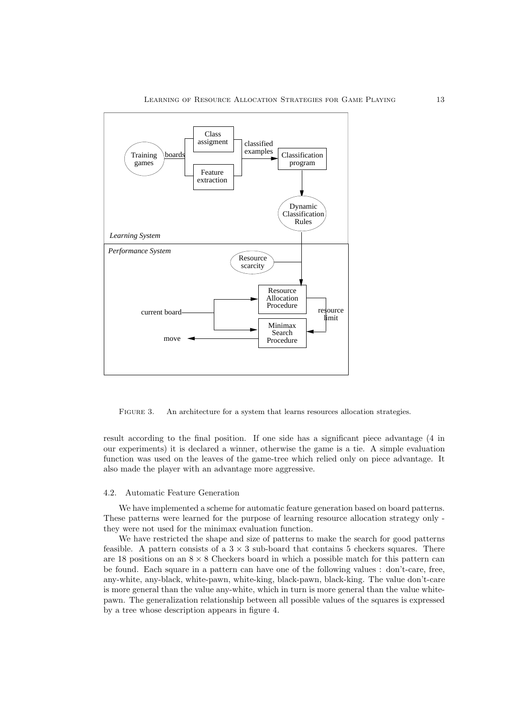

FIGURE 3. An architecture for a system that learns resources allocation strategies.

result according to the final position. If one side has a significant piece advantage (4 in our experiments) it is declared a winner, otherwise the game is a tie. A simple evaluation function was used on the leaves of the game-tree which relied only on piece advantage. It also made the player with an advantage more aggressive.

### 4.2. Automatic Feature Generation

We have implemented a scheme for automatic feature generation based on board patterns. These patterns were learned for the purpose of learning resource allocation strategy only they were not used for the minimax evaluation function.

We have restricted the shape and size of patterns to make the search for good patterns feasible. A pattern consists of a  $3 \times 3$  sub-board that contains 5 checkers squares. There are 18 positions on an  $8 \times 8$  Checkers board in which a possible match for this pattern can be found. Each square in a pattern can have one of the following values : don't-care, free, any-white, any-black, white-pawn, white-king, black-pawn, black-king. The value don't-care is more general than the value any-white, which in turn is more general than the value whitepawn. The generalization relationship between all possible values of the squares is expressed by a tree whose description appears in figure 4.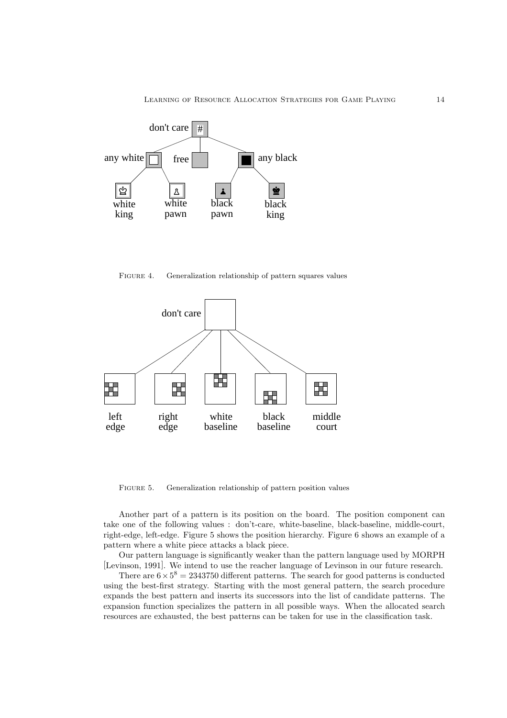LEARNING OF RESOURCE ALLOCATION STRATEGIES FOR GAME PLAYING 14



FIGURE 4. Generalization relationship of pattern squares values



FIGURE 5. Generalization relationship of pattern position values

Another part of a pattern is its position on the board. The position component can take one of the following values : don't-care, white-baseline, black-baseline, middle-court, right-edge, left-edge. Figure 5 shows the position hierarchy. Figure 6 shows an example of a pattern where a white piece attacks a black piece.

Our pattern language is significantly weaker than the pattern language used by MORPH [Levinson, 1991]. We intend to use the reacher language of Levinson in our future research.

There are  $6 \times 5^8 = 2343750$  different patterns. The search for good patterns is conducted using the best-first strategy. Starting with the most general pattern, the search procedure expands the best pattern and inserts its successors into the list of candidate patterns. The expansion function specializes the pattern in all possible ways. When the allocated search resources are exhausted, the best patterns can be taken for use in the classification task.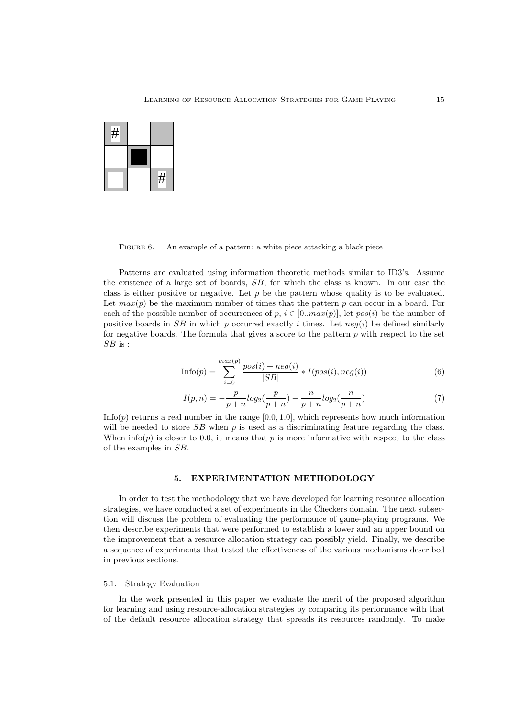

FIGURE 6. An example of a pattern: a white piece attacking a black piece

Patterns are evaluated using information theoretic methods similar to ID3's. Assume the existence of a large set of boards, SB, for which the class is known. In our case the class is either positive or negative. Let  $p$  be the pattern whose quality is to be evaluated. Let  $max(p)$  be the maximum number of times that the pattern p can occur in a board. For each of the possible number of occurrences of p,  $i \in [0, max(p)]$ , let  $pos(i)$  be the number of positive boards in SB in which p occurred exactly i times. Let  $neg(i)$  be defined similarly for negative boards. The formula that gives a score to the pattern  $p$  with respect to the set  $SB$  is :

$$
\text{Info}(p) = \sum_{i=0}^{\max(p)} \frac{\text{pos}(i) + \text{neg}(i)}{|SB|} * I(\text{pos}(i), \text{neg}(i))
$$
\n
$$
(6)
$$

$$
I(p,n) = -\frac{p}{p+n} log_2(\frac{p}{p+n}) - \frac{n}{p+n} log_2(\frac{n}{p+n})
$$
\n(7)

Info(p) returns a real number in the range  $[0.0, 1.0]$ , which represents how much information will be needed to store  $SB$  when p is used as a discriminating feature regarding the class. When  $\inf$ o(p) is closer to 0.0, it means that p is more informative with respect to the class of the examples in SB.

### $5<sub>1</sub>$

In order to test the methodology that we have developed for learning resource allocation strategies, we have conducted a set of experiments in the Checkers domain. The next subsection will discuss the problem of evaluating the performance of game-playing programs. We then describe experiments that were performed to establish a lower and an upper bound on the improvement that a resource allocation strategy can possibly yield. Finally, we describe a sequence of experiments that tested the effectiveness of the various mechanisms described in previous sections.

### 5.1. Strategy Evaluation

In the work presented in this paper we evaluate the merit of the proposed algorithm for learning and using resource-allocation strategies by comparing its performance with that of the default resource allocation strategy that spreads its resources randomly. To make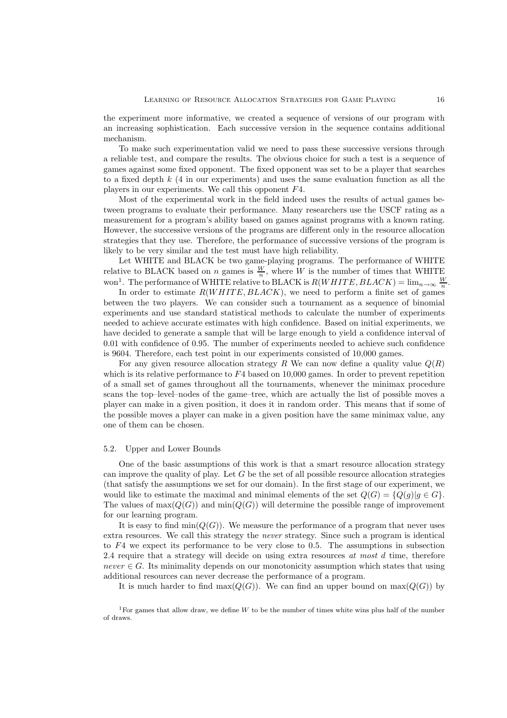the experiment more informative, we created a sequence of versions of our program with an increasing sophistication. Each successive version in the sequence contains additional mechanism.

To make such experimentation valid we need to pass these successive versions through a reliable test, and compare the results. The obvious choice for such a test is a sequence of games against some fixed opponent. The fixed opponent was set to be a player that searches to a fixed depth  $k$  (4 in our experiments) and uses the same evaluation function as all the players in our experiments. We call this opponent F4.

Most of the experimental work in the field indeed uses the results of actual games between programs to evaluate their performance. Many researchers use the USCF rating as a measurement for a program's ability based on games against programs with a known rating. However, the successive versions of the programs are different only in the resource allocation strategies that they use. Therefore, the performance of successive versions of the program is likely to be very similar and the test must have high reliability.

Let WHITE and BLACK be two game-playing programs. The performance of WHITE relative to BLACK based on *n* games is  $\frac{W}{n}$ , where W is the number of times that WHITE won<sup>1</sup>. The performance of WHITE relative to BLACK is  $R(WHITE, BLACK) = \lim_{n\to\infty} \frac{W}{n}$ .

In order to estimate  $R(WHITE, BLACK)$ , we need to perform a finite set of games between the two players. We can consider such a tournament as a sequence of binomial experiments and use standard statistical methods to calculate the number of experiments needed to achieve accurate estimates with high confidence. Based on initial experiments, we have decided to generate a sample that will be large enough to yield a confidence interval of 0.01 with confidence of 0.95. The number of experiments needed to achieve such confidence is 9604. Therefore, each test point in our experiments consisted of 10,000 games.

For any given resource allocation strategy R We can now define a quality value  $Q(R)$ which is its relative performance to  $F4$  based on 10,000 games. In order to prevent repetition of a small set of games throughout all the tournaments, whenever the minimax procedure scans the top–level–nodes of the game–tree, which are actually the list of possible moves a player can make in a given position, it does it in random order. This means that if some of the possible moves a player can make in a given position have the same minimax value, any one of them can be chosen.

### 5.2. Upper and Lower Bounds

One of the basic assumptions of this work is that a smart resource allocation strategy can improve the quality of play. Let  $G$  be the set of all possible resource allocation strategies (that satisfy the assumptions we set for our domain). In the first stage of our experiment, we would like to estimate the maximal and minimal elements of the set  $Q(G) = \{Q(g) | g \in G\}$ . The values of  $\max(Q(G))$  and  $\min(Q(G))$  will determine the possible range of improvement for our learning program.

It is easy to find  $\min(Q(G))$ . We measure the performance of a program that never uses extra resources. We call this strategy the *never* strategy. Since such a program is identical to F4 we expect its performance to be very close to 0.5. The assumptions in subsection 2.4 require that a strategy will decide on using extra resources *at most* d time, therefore  $never \in G$ . Its minimality depends on our monotonicity assumption which states that using additional resources can never decrease the performance of a program.

It is much harder to find  $\max(Q(G))$ . We can find an upper bound on  $\max(Q(G))$  by

<sup>&</sup>lt;sup>1</sup>For games that allow draw, we define *W* to be the number of times white wins plus half of the number of draws.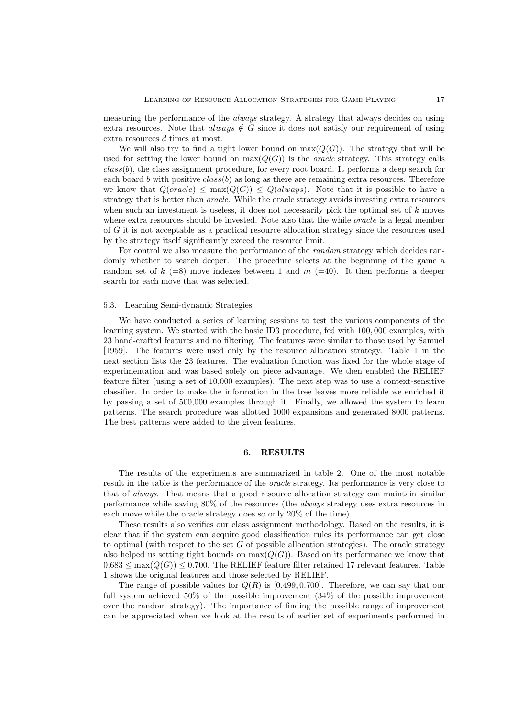measuring the performance of the *always* strategy. A strategy that always decides on using extra resources. Note that always  $\notin G$  since it does not satisfy our requirement of using extra resources d times at most.

We will also try to find a tight lower bound on  $\max(Q(G))$ . The strategy that will be used for setting the lower bound on  $\max(Q(G))$  is the *oracle* strategy. This strategy calls class(b), the class assignment procedure, for every root board. It performs a deep search for each board b with positive  $class(b)$  as long as there are remaining extra resources. Therefore we know that  $Q(\text{oracle}) \leq \max(Q(G)) \leq Q(\text{always})$ . Note that it is possible to have a strategy that is better than *oracle*. While the oracle strategy avoids investing extra resources when such an investment is useless, it does not necessarily pick the optimal set of  $k$  moves where extra resources should be invested. Note also that the while *oracle* is a legal member of G it is not acceptable as a practical resource allocation strategy since the resources used by the strategy itself significantly exceed the resource limit.

For control we also measure the performance of the *random* strategy which decides randomly whether to search deeper. The procedure selects at the beginning of the game a random set of  $k (=8)$  move indexes between 1 and  $m (=40)$ . It then performs a deeper search for each move that was selected.

### 5.3. Learning Semi-dynamic Strategies

We have conducted a series of learning sessions to test the various components of the learning system. We started with the basic ID3 procedure, fed with 100, 000 examples, with 23 hand-crafted features and no filtering. The features were similar to those used by Samuel [1959]. The features were used only by the resource allocation strategy. Table 1 in the next section lists the 23 features. The evaluation function was fixed for the whole stage of experimentation and was based solely on piece advantage. We then enabled the RELIEF feature filter (using a set of 10,000 examples). The next step was to use a context-sensitive classifier. In order to make the information in the tree leaves more reliable we enriched it by passing a set of 500,000 examples through it. Finally, we allowed the system to learn patterns. The search procedure was allotted 1000 expansions and generated 8000 patterns. The best patterns were added to the given features.

### 6.

The results of the experiments are summarized in table 2. One of the most notable result in the table is the performance of the *oracle* strategy. Its performance is very close to that of *always*. That means that a good resource allocation strategy can maintain similar performance while saving 80% of the resources (the *always* strategy uses extra resources in each move while the oracle strategy does so only 20% of the time).

These results also verifies our class assignment methodology. Based on the results, it is clear that if the system can acquire good classification rules its performance can get close to optimal (with respect to the set  $G$  of possible allocation strategies). The oracle strategy also helped us setting tight bounds on  $\max(Q(G))$ . Based on its performance we know that  $0.683 \le \max(Q(G)) \le 0.700$ . The RELIEF feature filter retained 17 relevant features. Table 1 shows the original features and those selected by RELIEF.

The range of possible values for  $Q(R)$  is [0.499, 0.700]. Therefore, we can say that our full system achieved 50% of the possible improvement (34% of the possible improvement over the random strategy). The importance of finding the possible range of improvement can be appreciated when we look at the results of earlier set of experiments performed in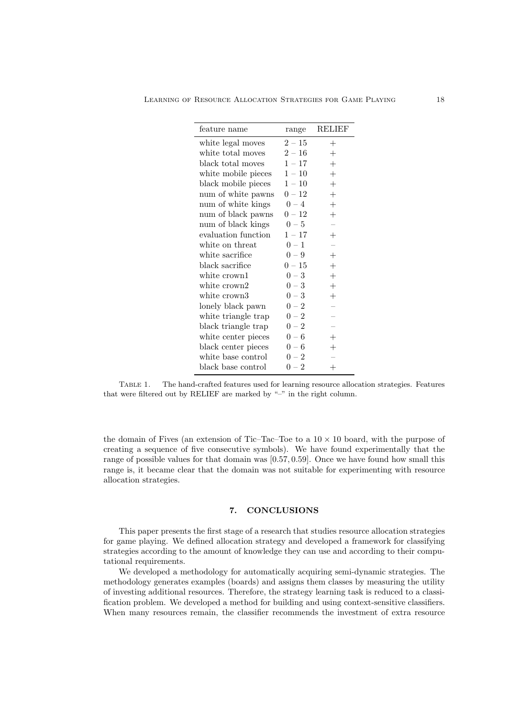| feature name        | range    | <b>RELIEF</b>      |
|---------------------|----------|--------------------|
| white legal moves   | $2-15$   | $^{+}$             |
| white total moves   | $2-16$   | $^+$               |
| black total moves   | $1 - 17$ | $^{+}$             |
| white mobile pieces | $1 - 10$ | $^{+}$             |
| black mobile pieces | $1-10$   | $^{+}$             |
| num of white pawns  | $0-12$   | $^{+}$             |
| num of white kings  | $0 - 4$  | $^{+}$             |
| num of black pawns  | $0-12$   | $^{+}$             |
| num of black kings  | $0-5$    |                    |
| evaluation function | $1-17$   | $^{+}$             |
| white on threat     | $0-1$    |                    |
| white sacrifice     | $0 - 9$  | $^{+}$             |
| black sacrifice     | $0-15$   | $^{+}$             |
| white crown1        | $0-3$    | $^{+}$             |
| white crown2        | $0-3$    | $^{+}$             |
| white crown3        | $0-3$    | $\hspace{0.1mm} +$ |
| lonely black pawn   | $0-2$    |                    |
| white triangle trap | $0-2$    |                    |
| black triangle trap | $0-2$    |                    |
| white center pieces | $0-6$    | $\pm$              |
| black center pieces | $0-6$    | $\! +$             |
| white base control  | $0 - 2$  |                    |
| black base control  | $0-2$    | $\hspace{0.1mm} +$ |

Table 1. The hand-crafted features used for learning resource allocation strategies. Features that were filtered out by RELIEF are marked by "-" in the right column.

the domain of Fives (an extension of Tic–Tac–Toe to a  $10 \times 10$  board, with the purpose of creating a sequence of five consecutive symbols). We have found experimentally that the range of possible values for that domain was [0.57, 0.59]. Once we have found how small this range is, it became clear that the domain was not suitable for experimenting with resource allocation strategies.

This paper presents the first stage of a research that studies resource allocation strategies for game playing. We defined allocation strategy and developed a framework for classifying strategies according to the amount of knowledge they can use and according to their computational requirements.

We developed a methodology for automatically acquiring semi-dynamic strategies. The methodology generates examples (boards) and assigns them classes by measuring the utility of investing additional resources. Therefore, the strategy learning task is reduced to a classification problem. We developed a method for building and using context-sensitive classifiers. When many resources remain, the classifier recommends the investment of extra resource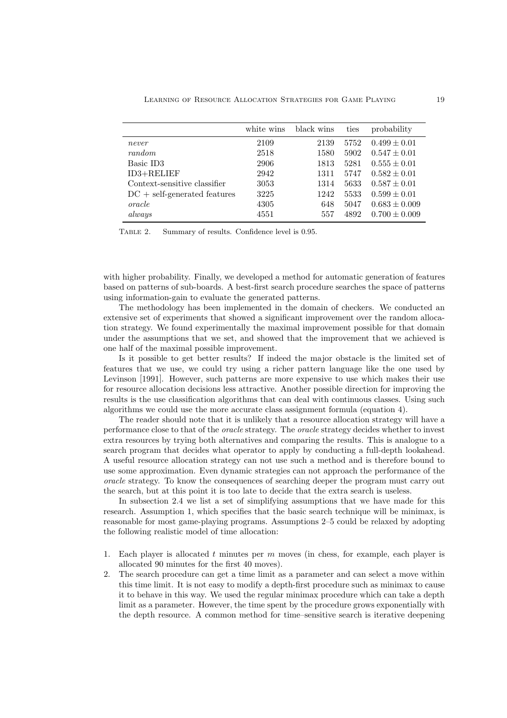|                                | white wins | black wins | ties | probability       |
|--------------------------------|------------|------------|------|-------------------|
| never                          | 2109       | 2139       | 5752 | $0.499 \pm 0.01$  |
| random                         | 2518       | 1580       | 5902 | $0.547 \pm 0.01$  |
| Basic ID3                      | 2906       | 1813       | 5281 | $0.555 \pm 0.01$  |
| $ID3+RELIEF$                   | 2942       | 1311       | 5747 | $0.582 \pm 0.01$  |
| Context-sensitive classifier   | 3053       | 1314       | 5633 | $0.587 \pm 0.01$  |
| $DC + self-generated features$ | 3225       | 1242       | 5533 | $0.599 \pm 0.01$  |
| oracle                         | 4305       | 648        | 5047 | $0.683 \pm 0.009$ |
| always                         | 4551       | 557        | 4892 | $0.700 \pm 0.009$ |

TABLE 2. Summary of results. Confidence level is 0.95.

with higher probability. Finally, we developed a method for automatic generation of features based on patterns of sub-boards. A best-first search procedure searches the space of patterns using information-gain to evaluate the generated patterns.

The methodology has been implemented in the domain of checkers. We conducted an extensive set of experiments that showed a significant improvement over the random allocation strategy. We found experimentally the maximal improvement possible for that domain under the assumptions that we set, and showed that the improvement that we achieved is one half of the maximal possible improvement.

Is it possible to get better results? If indeed the major obstacle is the limited set of features that we use, we could try using a richer pattern language like the one used by Levinson [1991]. However, such patterns are more expensive to use which makes their use for resource allocation decisions less attractive. Another possible direction for improving the results is the use classification algorithms that can deal with continuous classes. Using such algorithms we could use the more accurate class assignment formula (equation 4).

The reader should note that it is unlikely that a resource allocation strategy will have a performance close to that of the *oracle* strategy. The *oracle* strategy decides whether to invest extra resources by trying both alternatives and comparing the results. This is analogue to a search program that decides what operator to apply by conducting a full-depth lookahead. A useful resource allocation strategy can not use such a method and is therefore bound to use some approximation. Even dynamic strategies can not approach the performance of the *oracle* strategy. To know the consequences of searching deeper the program must carry out the search, but at this point it is too late to decide that the extra search is useless.

In subsection 2.4 we list a set of simplifying assumptions that we have made for this research. Assumption 1, which specifies that the basic search technique will be minimax, is reasonable for most game-playing programs. Assumptions 2–5 could be relaxed by adopting the following realistic model of time allocation:

- 1. Each player is allocated  $t$  minutes per  $m$  moves (in chess, for example, each player is allocated 90 minutes for the first 40 moves).
- 2. The search procedure can get a time limit as a parameter and can select a move within this time limit. It is not easy to modify a depth-first procedure such as minimax to cause it to behave in this way. We used the regular minimax procedure which can take a depth limit as a parameter. However, the time spent by the procedure grows exponentially with the depth resource. A common method for time–sensitive search is iterative deepening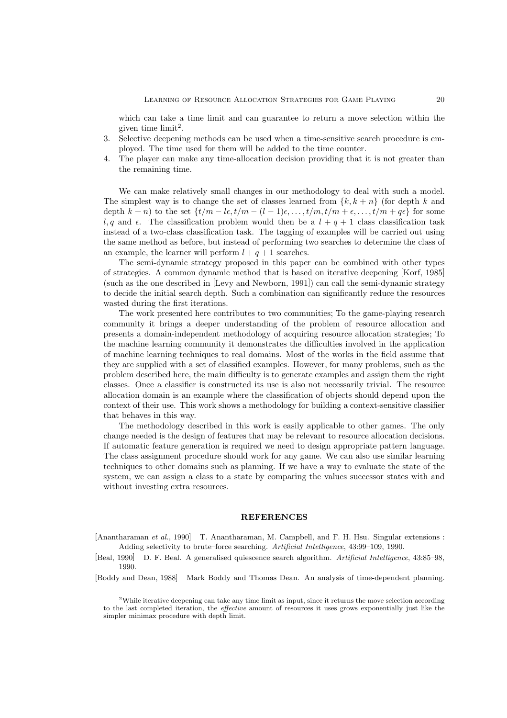which can take a time limit and can guarantee to return a move selection within the given time  $\text{limit}^2$ .

- 3. Selective deepening methods can be used when a time-sensitive search procedure is employed. The time used for them will be added to the time counter.
- 4. The player can make any time-allocation decision providing that it is not greater than the remaining time.

We can make relatively small changes in our methodology to deal with such a model. The simplest way is to change the set of classes learned from  $\{k, k + n\}$  (for depth k and depth  $k + n$ ) to the set  $\{t/m - l\epsilon, t/m - (l-1)\epsilon, \ldots, t/m, t/m + \epsilon, \ldots, t/m + q\epsilon\}$  for some l, q and  $\epsilon$ . The classification problem would then be a  $l + q + 1$  class classification task instead of a two-class classification task. The tagging of examples will be carried out using the same method as before, but instead of performing two searches to determine the class of an example, the learner will perform  $l + q + 1$  searches.

The semi-dynamic strategy proposed in this paper can be combined with other types of strategies. A common dynamic method that is based on iterative deepening [Korf, 1985] (such as the one described in [Levy and Newborn, 1991]) can call the semi-dynamic strategy to decide the initial search depth. Such a combination can significantly reduce the resources wasted during the first iterations.

The work presented here contributes to two communities; To the game-playing research community it brings a deeper understanding of the problem of resource allocation and presents a domain-independent methodology of acquiring resource allocation strategies; To the machine learning community it demonstrates the difficulties involved in the application of machine learning techniques to real domains. Most of the works in the field assume that they are supplied with a set of classified examples. However, for many problems, such as the problem described here, the main difficulty is to generate examples and assign them the right classes. Once a classifier is constructed its use is also not necessarily trivial. The resource allocation domain is an example where the classification of objects should depend upon the context of their use. This work shows a methodology for building a context-sensitive classifier that behaves in this way.

The methodology described in this work is easily applicable to other games. The only change needed is the design of features that may be relevant to resource allocation decisions. If automatic feature generation is required we need to design appropriate pattern language. The class assignment procedure should work for any game. We can also use similar learning techniques to other domains such as planning. If we have a way to evaluate the state of the system, we can assign a class to a state by comparing the values successor states with and without investing extra resources.

### **REFERENCES**

[Anantharaman *et al.*, 1990] T. Anantharaman, M. Campbell, and F. H. Hsu. Singular extensions : Adding selectivity to brute–force searching. *Artificial Intelligence*, 43:99–109, 1990.

[Beal, 1990] D. F. Beal. A generalised quiescence search algorithm. *Artificial Intelligence*, 43:85–98, 1990.

[Boddy and Dean, 1988] Mark Boddy and Thomas Dean. An analysis of time-dependent planning.

<sup>2</sup>While iterative deepening can take any time limit as input, since it returns the move selection according to the last completed iteration, the effective amount of resources it uses grows exponentially just like the simpler minimax procedure with depth limit.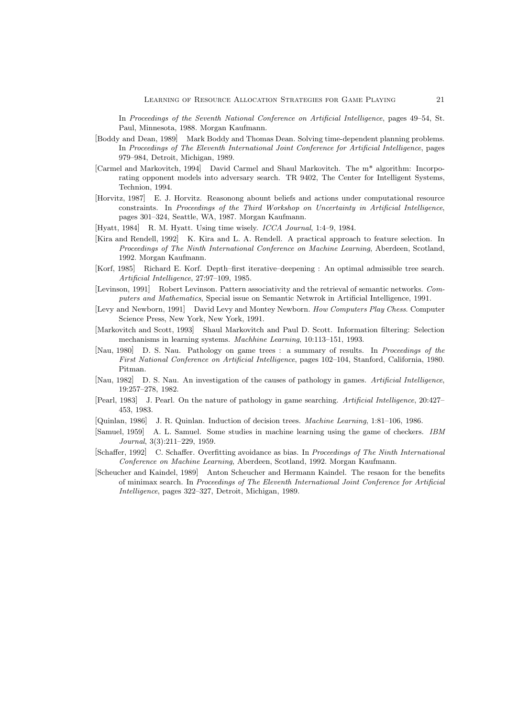In *Proceedings of the Seventh National Conference on Artificial Intelligence*, pages 49–54, St. Paul, Minnesota, 1988. Morgan Kaufmann.

- [Boddy and Dean, 1989] Mark Boddy and Thomas Dean. Solving time-dependent planning problems. In *Proceedings of The Eleventh International Joint Conference for Artificial Intelligence*, pages 979–984, Detroit, Michigan, 1989.
- [Carmel and Markovitch, 1994] David Carmel and Shaul Markovitch. The m\* algorithm: Incorporating opponent models into adversary search. TR 9402, The Center for Intelligent Systems, Technion, 1994.
- [Horvitz, 1987] E. J. Horvitz. Reasonong abount beliefs and actions under computational resource constraints. In *Proceedings of the Third Workshop on Uncertainty in Artificial Intelligence*, pages 301–324, Seattle, WA, 1987. Morgan Kaufmann.
- [Hyatt, 1984] R. M. Hyatt. Using time wisely. *ICCA Journal*, 1:4–9, 1984.
- [Kira and Rendell, 1992] K. Kira and L. A. Rendell. A practical approach to feature selection. In *Proceedings of The Ninth International Conference on Machine Learning*, Aberdeen, Scotland, 1992. Morgan Kaufmann.
- [Korf, 1985] Richard E. Korf. Depth–first iterative–deepening : An optimal admissible tree search. *Artificial Intelligence*, 27:97–109, 1985.
- [Levinson, 1991] Robert Levinson. Pattern associativity and the retrieval of semantic networks. *Computers and Mathematics*, Special issue on Semantic Netwrok in Artificial Intelligence, 1991.
- [Levy and Newborn, 1991] David Levy and Montey Newborn. *How Computers Play Chess*. Computer Science Press, New York, New York, 1991.
- [Markovitch and Scott, 1993] Shaul Markovitch and Paul D. Scott. Information filtering: Selection mechanisms in learning systems. *Machhine Learning*, 10:113–151, 1993.
- [Nau, 1980] D. S. Nau. Pathology on game trees : a summary of results. In *Proceedings of the First National Conference on Artificial Intelligence*, pages 102–104, Stanford, California, 1980. Pitman.
- [Nau, 1982] D. S. Nau. An investigation of the causes of pathology in games. *Artificial Intelligence*, 19:257–278, 1982.
- [Pearl, 1983] J. Pearl. On the nature of pathology in game searching. *Artificial Intelligence*, 20:427– 453, 1983.
- [Quinlan, 1986] J. R. Quinlan. Induction of decision trees. *Machine Learning*, 1:81–106, 1986.
- [Samuel, 1959] A. L. Samuel. Some studies in machine learning using the game of checkers. *IBM Journal*, 3(3):211–229, 1959.
- [Schaffer, 1992] C. Schaffer. Overfitting avoidance as bias. In *Proceedings of The Ninth International Conference on Machine Learning*, Aberdeen, Scotland, 1992. Morgan Kaufmann.
- [Scheucher and Kaindel, 1989] Anton Scheucher and Hermann Kaindel. The resaon for the benefits of minimax search. In *Proceedings of The Eleventh International Joint Conference for Artificial Intelligence*, pages 322–327, Detroit, Michigan, 1989.